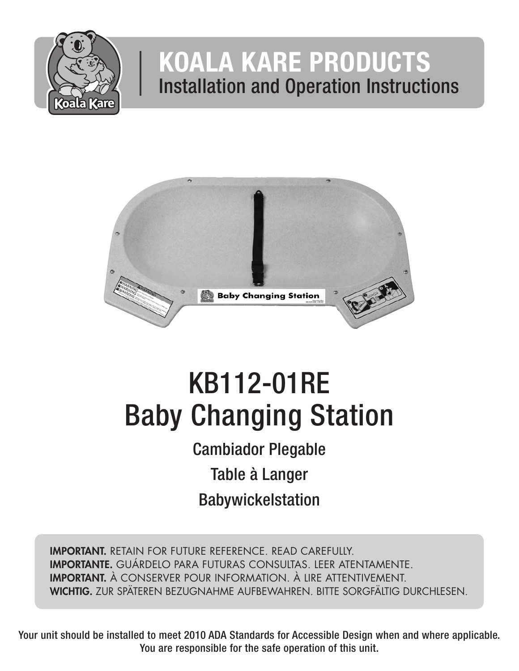

## KOALA KARE PRODUCTS Installation and Operation Instructions



# KB112-01RE Baby Changing Station

Cambiador Plegable Table à Langer Babywickelstation

IMPORTANT. RETAIN FOR FUTURE REFERENCE. READ CAREFULLY. IMPORTANTE. GUÁRDELO PARA FUTURAS CONSULTAS. LEER ATENTAMENTE. IMPORTANT. À CONSERVER POUR INFORMATION. À LIRE ATTENTIVEMENT. WICHTIG. ZUR SPÄTEREN BEZUGNAHME AUFBEWAHREN. BITTE SORGFÄLTIG DURCHLESEN.

Your unit should be installed to meet 2010 ADA Standards for Accessible Design when and where applicable. You are responsible for the safe operation of this unit.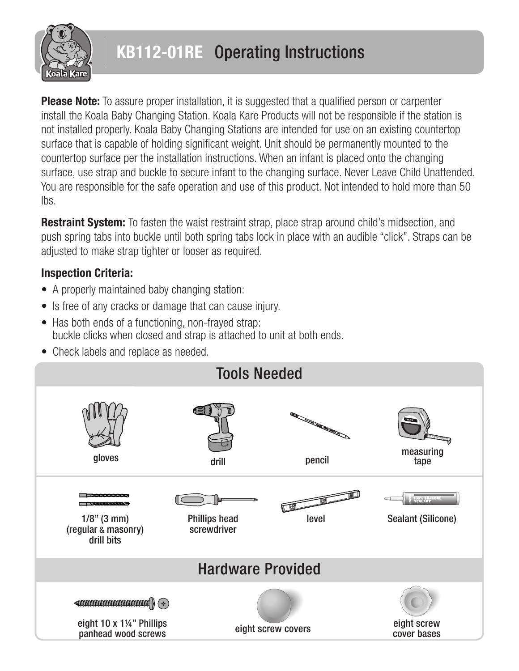

## KB112-01RE Operating Instructions

**Please Note:** To assure proper installation, it is suggested that a qualified person or carpenter install the Koala Baby Changing Station. Koala Kare Products will not be responsible if the station is not installed properly. Koala Baby Changing Stations are intended for use on an existing countertop surface that is capable of holding significant weight. Unit should be permanently mounted to the countertop surface per the installation instructions. When an infant is placed onto the changing surface, use strap and buckle to secure infant to the changing surface. Never Leave Child Unattended. You are responsible for the safe operation and use of this product. Not intended to hold more than 50 lbs.

**Restraint System:** To fasten the waist restraint strap, place strap around child's midsection, and push spring tabs into buckle until both spring tabs lock in place with an audible "click". Straps can be adjusted to make strap tighter or looser as required.

#### Inspection Criteria:

- A properly maintained baby changing station:
- Is free of any cracks or damage that can cause injury.
- Has both ends of a functioning, non-frayed strap: buckle clicks when closed and strap is attached to unit at both ends.
- Check labels and replace as needed.

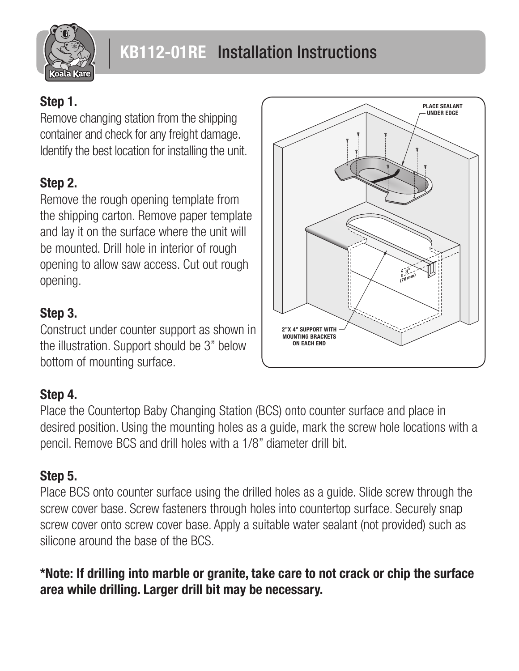

### Step 1.

Remove changing station from the shipping container and check for any freight damage. Identify the best location for installing the unit.

## Step 2.

Remove the rough opening template from the shipping carton. Remove paper template and lay it on the surface where the unit will be mounted. Drill hole in interior of rough opening to allow saw access. Cut out rough opening.

#### Step 3.

Construct under counter support as shown in the illustration. Support should be 3" below bottom of mounting surface.

#### Step 4.

Place the Countertop Baby Changing Station (BCS) onto counter surface and place in desired position. Using the mounting holes as a guide, mark the screw hole locations with a pencil. Remove BCS and drill holes with a 1/8" diameter drill bit.

## Step 5.

Place BCS onto counter surface using the drilled holes as a guide. Slide screw through the screw cover base. Screw fasteners through holes into countertop surface. Securely snap screw cover onto screw cover base. Apply a suitable water sealant (not provided) such as silicone around the base of the BCS.

\*Note: If drilling into marble or granite, take care to not crack or chip the surface area while drilling. Larger drill bit may be necessary.